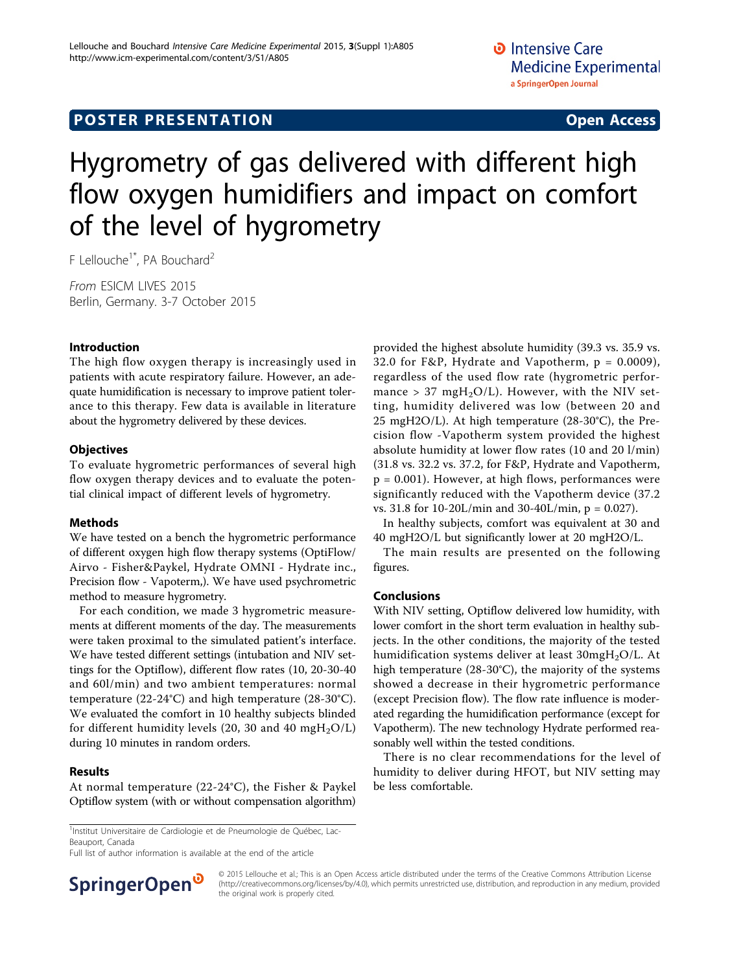# **POSTER PRESENTATION CONSUMING ACCESS**

# Hygrometry of gas delivered with different high flow oxygen humidifiers and impact on comfort of the level of hygrometry

F Lellouche<sup>1\*</sup>, PA Bouchard<sup>2</sup>

From ESICM LIVES 2015 Berlin, Germany. 3-7 October 2015

## Introduction

The high flow oxygen therapy is increasingly used in patients with acute respiratory failure. However, an adequate humidification is necessary to improve patient tolerance to this therapy. Few data is available in literature about the hygrometry delivered by these devices.

#### **Objectives**

To evaluate hygrometric performances of several high flow oxygen therapy devices and to evaluate the potential clinical impact of different levels of hygrometry.

## Methods

We have tested on a bench the hygrometric performance of different oxygen high flow therapy systems (OptiFlow/ Airvo - Fisher&Paykel, Hydrate OMNI - Hydrate inc., Precision flow - Vapoterm,). We have used psychrometric method to measure hygrometry.

For each condition, we made 3 hygrometric measurements at different moments of the day. The measurements were taken proximal to the simulated patient's interface. We have tested different settings (intubation and NIV settings for the Optiflow), different flow rates (10, 20-30-40 and 60l/min) and two ambient temperatures: normal temperature (22-24°C) and high temperature (28-30°C). We evaluated the comfort in 10 healthy subjects blinded for different humidity levels (20, 30 and 40 mgH<sub>2</sub>O/L) during 10 minutes in random orders.

## Results

At normal temperature (22-24°C), the Fisher & Paykel Optiflow system (with or without compensation algorithm)

<sup>1</sup>Institut Universitaire de Cardiologie et de Pneumologie de Québec, Lac-Beauport, Canada

Full list of author information is available at the end of the article



© 2015 Lellouche et al.; This is an Open Access article distributed under the terms of the Creative Commons Attribution License [\(http://creativecommons.org/licenses/by/4.0](http://creativecommons.org/licenses/by/4.0)), which permits unrestricted use, distribution, and reproduction in any medium, provided the original work is properly cited.

provided the highest absolute humidity (39.3 vs. 35.9 vs. 32.0 for F&P, Hydrate and Vapotherm,  $p = 0.0009$ ), regardless of the used flow rate (hygrometric performance > 37 mgH<sub>2</sub>O/L). However, with the NIV setting, humidity delivered was low (between 20 and 25 mgH2O/L). At high temperature (28-30°C), the Precision flow -Vapotherm system provided the highest absolute humidity at lower flow rates (10 and 20 l/min) (31.8 vs. 32.2 vs. 37.2, for F&P, Hydrate and Vapotherm,  $p = 0.001$ ). However, at high flows, performances were significantly reduced with the Vapotherm device (37.2 vs. 31.8 for 10-20L/min and 30-40L/min, p = 0.027).

In healthy subjects, comfort was equivalent at 30 and 40 mgH2O/L but significantly lower at 20 mgH2O/L.

The main results are presented on the following figures.

#### Conclusions

With NIV setting, Optiflow delivered low humidity, with lower comfort in the short term evaluation in healthy subjects. In the other conditions, the majority of the tested humidification systems deliver at least 30mgH2O/L. At high temperature (28-30°C), the majority of the systems showed a decrease in their hygrometric performance (except Precision flow). The flow rate influence is moderated regarding the humidification performance (except for Vapotherm). The new technology Hydrate performed reasonably well within the tested conditions.

There is no clear recommendations for the level of humidity to deliver during HFOT, but NIV setting may be less comfortable.